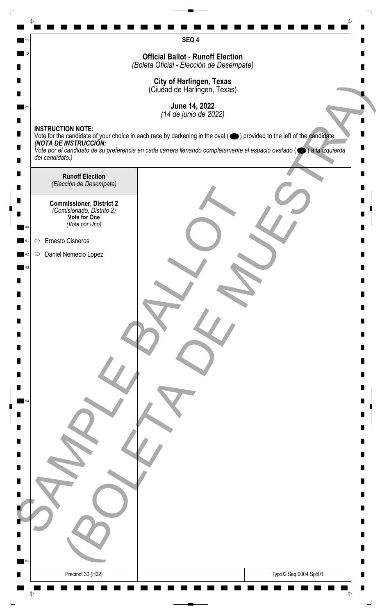| 12     | SEQ 4<br><b>Official Ballot - Runoff Election</b>                                                                                                                           |   |
|--------|-----------------------------------------------------------------------------------------------------------------------------------------------------------------------------|---|
|        | (Boleta Oficial - Elección de Desempate)                                                                                                                                    |   |
|        | <b>City of Harlingen, Texas</b><br>(Ciudad de Harlingen, Texas)                                                                                                             |   |
|        |                                                                                                                                                                             |   |
|        | June 14, 2022<br>(14 de junio de 2022)                                                                                                                                      |   |
| п      | <b>INSTRUCTION NOTE:</b><br>Vote for the candidate of your choice in each race by darkening in the oval (O) provided to the left of the candidate.<br>(NOTA DE INSTRUCCIÓN: |   |
| п      | Vote por el candidato de su preferencia en cada carrera llenando completamente el espacio ovalado ( $\bigcirc$ ) a la izquierda                                             |   |
|        | del candidato.)                                                                                                                                                             |   |
| Ш<br>П | <b>Runoff Election</b><br>(Elección de Desempate)                                                                                                                           |   |
| п      | <b>Commissioner, District 2</b>                                                                                                                                             |   |
|        | (Comisionado, Distrito 2)<br>Vote for One                                                                                                                                   |   |
|        | (Vote por Uno)                                                                                                                                                              |   |
|        | Ernesto Cisneros<br>$\bigcirc$                                                                                                                                              |   |
| 43     | Daniel Nemecio Lopez<br>$\circ$                                                                                                                                             |   |
|        |                                                                                                                                                                             |   |
|        |                                                                                                                                                                             |   |
| П      |                                                                                                                                                                             |   |
| П      |                                                                                                                                                                             |   |
| П      |                                                                                                                                                                             |   |
| Ш      |                                                                                                                                                                             |   |
| П      |                                                                                                                                                                             |   |
|        |                                                                                                                                                                             |   |
|        |                                                                                                                                                                             |   |
| П      |                                                                                                                                                                             |   |
| п      |                                                                                                                                                                             |   |
|        |                                                                                                                                                                             |   |
| П<br>П |                                                                                                                                                                             |   |
|        |                                                                                                                                                                             |   |
|        |                                                                                                                                                                             |   |
|        |                                                                                                                                                                             |   |
|        |                                                                                                                                                                             |   |
|        |                                                                                                                                                                             |   |
| 61     |                                                                                                                                                                             | ш |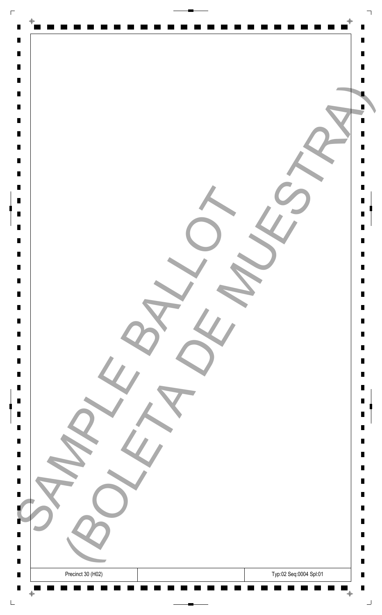| $\Gamma$                         |                                             |                |
|----------------------------------|---------------------------------------------|----------------|
| $\blacksquare$                   | $\Phi$                                      |                |
| $\blacksquare$                   |                                             | Ш              |
| $\blacksquare$                   |                                             | П              |
| $\blacksquare$<br>$\blacksquare$ |                                             |                |
| $\blacksquare$                   |                                             |                |
| $\blacksquare$                   |                                             |                |
| $\blacksquare$                   |                                             |                |
| $\blacksquare$<br>$\blacksquare$ |                                             |                |
| $\blacksquare$                   |                                             | П              |
| $\blacksquare$                   |                                             | П              |
| $\blacksquare$                   |                                             |                |
| $\blacksquare$<br>$\blacksquare$ |                                             | Ш<br>П         |
| $\blacksquare$                   |                                             | П              |
| $\blacksquare$                   |                                             |                |
| $\blacksquare$                   |                                             |                |
| $\blacksquare$                   |                                             | П              |
| $\blacksquare$                   |                                             | Ш              |
| $\Box$                           |                                             | Ш              |
| $\blacksquare$                   |                                             | Ш              |
| $\blacksquare$<br>$\blacksquare$ |                                             | Ш<br>Ш         |
| $\blacksquare$                   |                                             | Ш              |
| $\blacksquare$                   |                                             |                |
| $\blacksquare$<br>$\blacksquare$ |                                             | П<br>Ш         |
| $\blacksquare$                   |                                             | Ш              |
| $\blacksquare$                   |                                             |                |
| $\blacksquare$                   |                                             | Ш              |
| $\blacksquare$                   |                                             | п<br>Ш         |
| $\blacksquare$                   |                                             | Ш              |
|                                  |                                             |                |
| $\blacksquare$<br>٠              |                                             | Ш<br>П         |
| ш                                |                                             | ш              |
| $\Box$                           |                                             | п              |
| $\blacksquare$                   |                                             | $\blacksquare$ |
| $\blacksquare$<br>$\blacksquare$ | Typ:02 Seq:0004 Spl:01<br>Precinct 30 (H02) | Ш<br>П         |
|                                  | $\bar{\mathrm{+}}$<br>$\bigoplus$<br>- 11   | ┙              |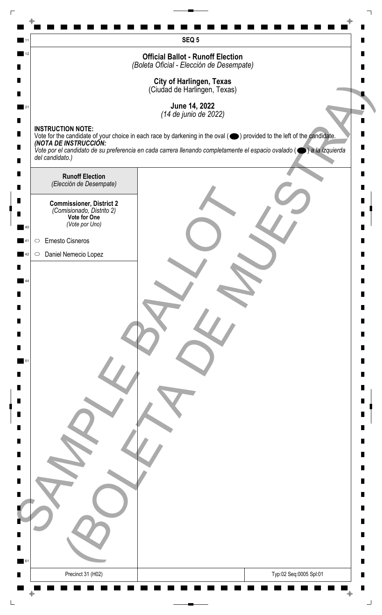|    | SEQ <sub>5</sub>                                                                                                                                           |   |
|----|------------------------------------------------------------------------------------------------------------------------------------------------------------|---|
| 12 | <b>Official Ballot - Runoff Election</b>                                                                                                                   |   |
|    | (Boleta Oficial - Elección de Desempate)                                                                                                                   |   |
|    | <b>City of Harlingen, Texas</b><br>(Ciudad de Harlingen, Texas)                                                                                            |   |
|    | June 14, 2022                                                                                                                                              |   |
|    | (14 de junio de 2022)<br><b>INSTRUCTION NOTE:</b>                                                                                                          |   |
|    | Vote for the candidate of your choice in each race by darkening in the oval ( $\bigcirc$ ) provided to the left of the candidate.<br>(NOTA DE INSTRUCCIÓN: |   |
|    | Vote por el candidato de su preferencia en cada carrera llenando completamente el espacio ovalado ( $\bigcirc$ ) a la izquierda<br>del candidato.)         |   |
|    | <b>Runoff Election</b>                                                                                                                                     |   |
|    | (Elección de Desempate)                                                                                                                                    |   |
|    | <b>Commissioner, District 2</b><br>(Comisionado, Distrito 2)                                                                                               |   |
|    | Vote for One<br>(Vote por Uno)                                                                                                                             |   |
|    | Ernesto Cisneros<br>$\bigcirc$                                                                                                                             |   |
|    | Daniel Nemecio Lopez<br>$\circ$                                                                                                                            |   |
|    |                                                                                                                                                            |   |
|    |                                                                                                                                                            |   |
|    |                                                                                                                                                            |   |
|    |                                                                                                                                                            |   |
|    |                                                                                                                                                            |   |
|    |                                                                                                                                                            |   |
|    |                                                                                                                                                            |   |
|    |                                                                                                                                                            |   |
|    |                                                                                                                                                            |   |
|    |                                                                                                                                                            |   |
|    |                                                                                                                                                            |   |
|    |                                                                                                                                                            |   |
|    |                                                                                                                                                            |   |
|    |                                                                                                                                                            |   |
|    |                                                                                                                                                            |   |
|    |                                                                                                                                                            |   |
|    |                                                                                                                                                            |   |
|    |                                                                                                                                                            |   |
| 61 |                                                                                                                                                            | п |
|    | Precinct 31 (H02)<br>Typ:02 Seq:0005 Spl:01                                                                                                                |   |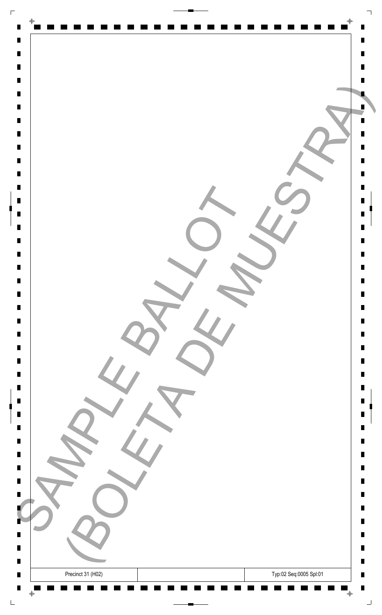| $\Gamma$                         |                                             |                |
|----------------------------------|---------------------------------------------|----------------|
| $\blacksquare$                   | $\Phi$                                      |                |
| $\blacksquare$                   |                                             | Ш              |
| $\blacksquare$                   |                                             | П              |
| $\blacksquare$                   |                                             |                |
| $\blacksquare$<br>$\blacksquare$ |                                             |                |
| $\blacksquare$                   |                                             |                |
| $\blacksquare$                   |                                             |                |
| $\blacksquare$                   |                                             |                |
| $\blacksquare$<br>$\blacksquare$ |                                             | П              |
| $\blacksquare$                   |                                             | П              |
| $\blacksquare$                   |                                             |                |
| $\blacksquare$                   |                                             | Ш              |
| $\blacksquare$<br>$\blacksquare$ |                                             | П<br>П         |
| $\blacksquare$                   |                                             |                |
| $\blacksquare$                   |                                             |                |
|                                  |                                             |                |
| $\blacksquare$<br>$\blacksquare$ |                                             | П<br>Ш         |
| $\Box$                           |                                             | Ш              |
| $\blacksquare$                   |                                             | Ш              |
| $\blacksquare$                   |                                             | Ш              |
| $\blacksquare$<br>$\blacksquare$ |                                             | Ш<br>Ш         |
| $\blacksquare$                   |                                             |                |
| $\blacksquare$                   |                                             | П              |
| $\blacksquare$                   |                                             | Ш              |
| $\blacksquare$<br>$\blacksquare$ |                                             | Ш              |
| $\blacksquare$                   |                                             | Ш              |
| $\blacksquare$                   |                                             | п              |
| $\blacksquare$                   |                                             | Ш<br>Ш         |
|                                  |                                             |                |
| $\blacksquare$                   |                                             | Ш              |
| ٠                                |                                             | П              |
| ш<br>$\blacksquare$              |                                             | ш<br>п         |
| $\blacksquare$                   |                                             | $\blacksquare$ |
| $\blacksquare$                   | Typ:02 Seq:0005 Spl:01<br>Precinct 31 (H02) | Ш              |
| $\blacksquare$                   | $\bar{\mathrm{+}}$<br>$\bigoplus$           | П              |
|                                  |                                             | ┙              |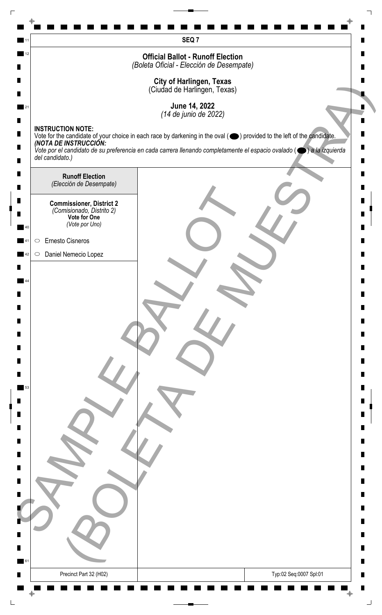| SEQ <sub>7</sub><br>12                                                                                                                                                                                                                                                                             |   |
|----------------------------------------------------------------------------------------------------------------------------------------------------------------------------------------------------------------------------------------------------------------------------------------------------|---|
|                                                                                                                                                                                                                                                                                                    |   |
|                                                                                                                                                                                                                                                                                                    |   |
| <b>Official Ballot - Runoff Election</b><br>(Boleta Oficial - Elección de Desempate)                                                                                                                                                                                                               |   |
|                                                                                                                                                                                                                                                                                                    |   |
| <b>City of Harlingen, Texas</b><br>(Ciudad de Harlingen, Texas)                                                                                                                                                                                                                                    |   |
| June 14, 2022                                                                                                                                                                                                                                                                                      |   |
| (14 de junio de 2022)                                                                                                                                                                                                                                                                              |   |
| <b>INSTRUCTION NOTE:</b><br>п                                                                                                                                                                                                                                                                      |   |
| Vote for the candidate of your choice in each race by darkening in the oval ( $\bigcirc$ ) provided to the left of the candidate.<br>(NOTA DE INSTRUCCIÓN:<br>п<br>Vote por el candidato de su preferencia en cada carrera llenando completamente el espacio ovalado ( $\bigcirc$ ) a la izquierda |   |
| del candidato.)                                                                                                                                                                                                                                                                                    |   |
| П<br><b>Runoff Election</b>                                                                                                                                                                                                                                                                        |   |
| (Elección de Desempate)<br>П                                                                                                                                                                                                                                                                       |   |
| п<br><b>Commissioner, District 2</b><br>(Comisionado, Distrito 2)                                                                                                                                                                                                                                  |   |
| Vote for One<br>(Vote por Uno)                                                                                                                                                                                                                                                                     |   |
| Ernesto Cisneros<br>$\bigcirc$                                                                                                                                                                                                                                                                     |   |
| Daniel Nemecio Lopez<br>$\circ$                                                                                                                                                                                                                                                                    |   |
|                                                                                                                                                                                                                                                                                                    |   |
|                                                                                                                                                                                                                                                                                                    |   |
|                                                                                                                                                                                                                                                                                                    |   |
| П                                                                                                                                                                                                                                                                                                  |   |
| П                                                                                                                                                                                                                                                                                                  |   |
|                                                                                                                                                                                                                                                                                                    |   |
| П                                                                                                                                                                                                                                                                                                  |   |
| Ш                                                                                                                                                                                                                                                                                                  |   |
| L.<br>53                                                                                                                                                                                                                                                                                           |   |
|                                                                                                                                                                                                                                                                                                    |   |
| п                                                                                                                                                                                                                                                                                                  |   |
| П                                                                                                                                                                                                                                                                                                  |   |
| п                                                                                                                                                                                                                                                                                                  |   |
|                                                                                                                                                                                                                                                                                                    |   |
| П                                                                                                                                                                                                                                                                                                  |   |
| П                                                                                                                                                                                                                                                                                                  |   |
|                                                                                                                                                                                                                                                                                                    |   |
|                                                                                                                                                                                                                                                                                                    |   |
|                                                                                                                                                                                                                                                                                                    |   |
|                                                                                                                                                                                                                                                                                                    |   |
|                                                                                                                                                                                                                                                                                                    |   |
| 61                                                                                                                                                                                                                                                                                                 | ш |
| Precinct Part 32 (H02)<br>Typ:02 Seq:0007 Spl:01                                                                                                                                                                                                                                                   |   |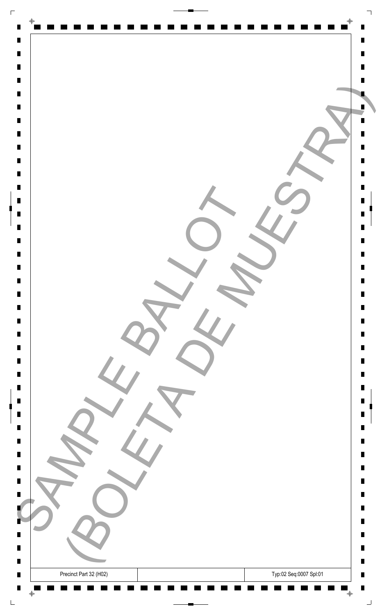| $\Gamma$                         |                                                  |        |
|----------------------------------|--------------------------------------------------|--------|
| $\blacksquare$                   | $\Phi$                                           |        |
| $\blacksquare$                   |                                                  | Ш      |
| $\blacksquare$                   |                                                  | П      |
| $\blacksquare$<br>$\blacksquare$ |                                                  |        |
| $\blacksquare$                   |                                                  |        |
| $\blacksquare$                   |                                                  |        |
| $\blacksquare$                   |                                                  |        |
| $\blacksquare$<br>$\blacksquare$ |                                                  |        |
| $\blacksquare$                   |                                                  | П      |
| $\blacksquare$                   |                                                  | П      |
| $\blacksquare$<br>$\blacksquare$ |                                                  |        |
| $\blacksquare$                   |                                                  | Ш<br>П |
| $\blacksquare$                   |                                                  | П      |
| $\blacksquare$                   |                                                  |        |
| $\blacksquare$                   |                                                  |        |
| $\blacksquare$                   |                                                  | П      |
| $\blacksquare$                   |                                                  | Ш      |
| $\Box$<br>$\blacksquare$         |                                                  | Ш<br>Ш |
| $\blacksquare$                   |                                                  | Ш      |
| $\blacksquare$                   |                                                  | Ш      |
| $\blacksquare$<br>$\blacksquare$ |                                                  | Ш      |
| $\blacksquare$                   |                                                  | П      |
| $\blacksquare$                   |                                                  | Ш      |
| $\blacksquare$                   |                                                  | Ш      |
| $\blacksquare$<br>$\blacksquare$ |                                                  | Ш      |
| $\blacksquare$                   |                                                  | п      |
|                                  |                                                  | Ш      |
| $\blacksquare$                   |                                                  | Ш      |
| $\blacksquare$                   |                                                  | Ш      |
| ٠                                |                                                  | П      |
| Ц                                |                                                  | ш      |
| н<br>$\blacksquare$              |                                                  | ш<br>П |
| п                                | Typ:02 Seq:0007 Spl:01<br>Precinct Part 32 (H02) | Ш      |
| $\blacksquare$                   | $\bar{\mathrm{+}}$<br>$\bigoplus$                | П      |
|                                  | - -                                              | ┙      |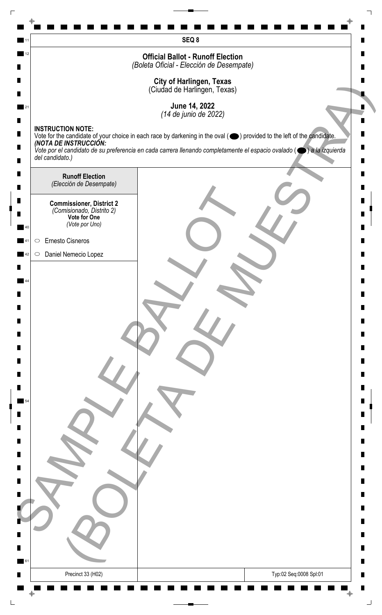|               |                                                                              | SEQ 8                                                                                                                                                                                                                                                                                        |
|---------------|------------------------------------------------------------------------------|----------------------------------------------------------------------------------------------------------------------------------------------------------------------------------------------------------------------------------------------------------------------------------------------|
| 12            |                                                                              | <b>Official Ballot - Runoff Election</b>                                                                                                                                                                                                                                                     |
|               |                                                                              | (Boleta Oficial - Elección de Desempate)                                                                                                                                                                                                                                                     |
|               |                                                                              | <b>City of Harlingen, Texas</b><br>(Ciudad de Harlingen, Texas)                                                                                                                                                                                                                              |
| 21            |                                                                              | June 14, 2022                                                                                                                                                                                                                                                                                |
|               |                                                                              | (14 de junio de 2022)                                                                                                                                                                                                                                                                        |
|               | <b>INSTRUCTION NOTE:</b>                                                     |                                                                                                                                                                                                                                                                                              |
|               |                                                                              | Vote for the candidate of your choice in each race by darkening in the oval ( ightarrow ) provided to the left of the candidate.<br>(NOTA DE INSTRUCCIÓN:<br>Vote por el candidato de su preferencia en cada carrera llenando completamente el espacio ovalado ( $\bigcirc$ ) a la izquierda |
|               | del candidato.)                                                              |                                                                                                                                                                                                                                                                                              |
|               | <b>Runoff Election</b>                                                       |                                                                                                                                                                                                                                                                                              |
|               | (Elección de Desempate)                                                      |                                                                                                                                                                                                                                                                                              |
|               | <b>Commissioner, District 2</b><br>(Comisionado, Distrito 2)<br>Vote for One |                                                                                                                                                                                                                                                                                              |
| 40            | (Vote por Uno)                                                               |                                                                                                                                                                                                                                                                                              |
| $\bigcirc$    | Ernesto Cisneros                                                             |                                                                                                                                                                                                                                                                                              |
| 42<br>$\circ$ | Daniel Nemecio Lopez                                                         |                                                                                                                                                                                                                                                                                              |
|               |                                                                              |                                                                                                                                                                                                                                                                                              |
|               |                                                                              |                                                                                                                                                                                                                                                                                              |
|               |                                                                              |                                                                                                                                                                                                                                                                                              |
|               |                                                                              |                                                                                                                                                                                                                                                                                              |
|               |                                                                              |                                                                                                                                                                                                                                                                                              |
|               |                                                                              |                                                                                                                                                                                                                                                                                              |
|               |                                                                              |                                                                                                                                                                                                                                                                                              |
|               |                                                                              |                                                                                                                                                                                                                                                                                              |
|               |                                                                              |                                                                                                                                                                                                                                                                                              |
|               |                                                                              |                                                                                                                                                                                                                                                                                              |
|               |                                                                              |                                                                                                                                                                                                                                                                                              |
|               |                                                                              |                                                                                                                                                                                                                                                                                              |
|               |                                                                              |                                                                                                                                                                                                                                                                                              |
|               |                                                                              |                                                                                                                                                                                                                                                                                              |
|               |                                                                              |                                                                                                                                                                                                                                                                                              |
|               |                                                                              |                                                                                                                                                                                                                                                                                              |
|               |                                                                              |                                                                                                                                                                                                                                                                                              |
|               |                                                                              |                                                                                                                                                                                                                                                                                              |
|               |                                                                              |                                                                                                                                                                                                                                                                                              |
|               |                                                                              |                                                                                                                                                                                                                                                                                              |
| 61            |                                                                              |                                                                                                                                                                                                                                                                                              |
|               | Precinct 33 (H02)                                                            | Typ:02 Seq:0008 Spl:01                                                                                                                                                                                                                                                                       |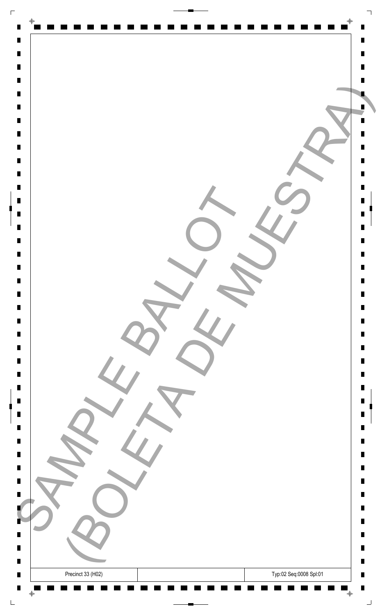| $\Gamma$                         |                                             |                |
|----------------------------------|---------------------------------------------|----------------|
| $\blacksquare$                   | $\Phi$                                      |                |
| $\blacksquare$                   |                                             | Ш              |
| $\blacksquare$                   |                                             | П              |
| $\blacksquare$                   |                                             |                |
| $\blacksquare$<br>$\blacksquare$ |                                             |                |
| $\blacksquare$                   |                                             |                |
| $\blacksquare$                   |                                             |                |
| $\blacksquare$                   |                                             |                |
| $\blacksquare$<br>$\blacksquare$ |                                             | П              |
| $\blacksquare$                   |                                             | П              |
| $\blacksquare$                   |                                             |                |
| $\blacksquare$                   |                                             | Ш              |
| $\blacksquare$<br>$\blacksquare$ |                                             | П<br>П         |
| $\blacksquare$                   |                                             |                |
| $\blacksquare$                   |                                             |                |
|                                  |                                             |                |
| $\blacksquare$<br>$\blacksquare$ |                                             | П<br>Ш         |
| $\Box$                           |                                             | Ш              |
| $\blacksquare$                   |                                             | Ш              |
| $\blacksquare$<br>$\blacksquare$ |                                             | Ш<br>Ш         |
| $\blacksquare$                   |                                             | Ш              |
| $\blacksquare$                   |                                             |                |
| $\blacksquare$                   |                                             | П              |
| $\blacksquare$<br>$\blacksquare$ |                                             | Ш<br>Ш         |
| $\blacksquare$                   |                                             |                |
| $\blacksquare$                   |                                             | Ш              |
| $\blacksquare$                   |                                             | п              |
| $\blacksquare$                   |                                             | Ш<br>Ш         |
|                                  |                                             |                |
| $\blacksquare$                   |                                             | Ш              |
| ٠                                |                                             | П              |
| ш<br>$\Box$                      |                                             | ш<br>п         |
| $\blacksquare$                   |                                             | $\blacksquare$ |
| $\blacksquare$                   | Typ:02 Seq:0008 Spl:01<br>Precinct 33 (H02) | Ш              |
| $\blacksquare$                   | ╺<br>$\bigoplus$                            | П<br>┙         |
|                                  |                                             |                |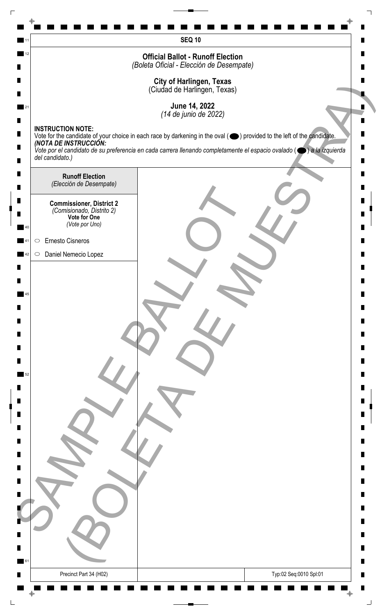| 12      |                                                   | <b>SEQ 10</b>                                                                                                                                             |
|---------|---------------------------------------------------|-----------------------------------------------------------------------------------------------------------------------------------------------------------|
|         |                                                   | <b>Official Ballot - Runoff Election</b><br>(Boleta Oficial - Elección de Desempate)                                                                      |
|         |                                                   |                                                                                                                                                           |
|         |                                                   | <b>City of Harlingen, Texas</b><br>(Ciudad de Harlingen, Texas)                                                                                           |
|         |                                                   | June 14, 2022                                                                                                                                             |
|         | <b>INSTRUCTION NOTE:</b>                          | (14 de junio de 2022)                                                                                                                                     |
|         |                                                   | Vote for the candidate of your choice in each race by darkening in the oval ( ightarrow ) provided to the left of the candidate.<br>(NOTA DE INSTRUCCIÓN: |
|         | del candidato.)                                   | Vote por el candidato de su preferencia en cada carrera llenando completamente el espacio ovalado ( $\bullet$ ) a la izquierda                            |
|         |                                                   |                                                                                                                                                           |
|         | <b>Runoff Election</b><br>(Elección de Desempate) |                                                                                                                                                           |
|         | <b>Commissioner, District 2</b>                   |                                                                                                                                                           |
|         | (Comisionado, Distrito 2)<br>Vote for One         |                                                                                                                                                           |
| 40      | (Vote por Uno)                                    |                                                                                                                                                           |
| $\circ$ | Ernesto Cisneros                                  |                                                                                                                                                           |
| $\circ$ | Daniel Nemecio Lopez                              |                                                                                                                                                           |
|         |                                                   |                                                                                                                                                           |
|         |                                                   |                                                                                                                                                           |
|         |                                                   |                                                                                                                                                           |
|         |                                                   |                                                                                                                                                           |
|         |                                                   |                                                                                                                                                           |
|         |                                                   |                                                                                                                                                           |
|         |                                                   |                                                                                                                                                           |
|         |                                                   |                                                                                                                                                           |
|         |                                                   |                                                                                                                                                           |
|         |                                                   |                                                                                                                                                           |
|         |                                                   |                                                                                                                                                           |
|         |                                                   |                                                                                                                                                           |
|         |                                                   |                                                                                                                                                           |
|         |                                                   |                                                                                                                                                           |
|         |                                                   |                                                                                                                                                           |
|         |                                                   |                                                                                                                                                           |
|         |                                                   |                                                                                                                                                           |
|         |                                                   |                                                                                                                                                           |
|         |                                                   |                                                                                                                                                           |
| 61      |                                                   |                                                                                                                                                           |
|         | Precinct Part 34 (H02)                            | Typ:02 Seq:0010 Spl:01                                                                                                                                    |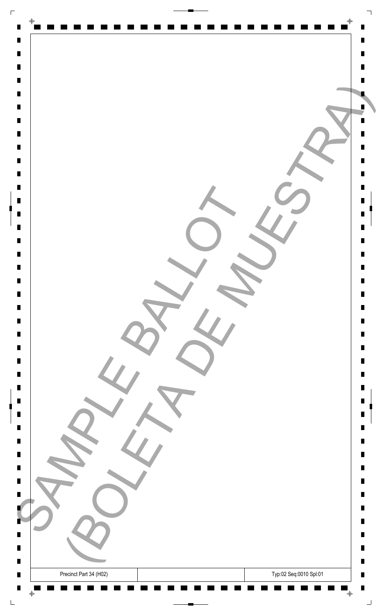| $\Gamma$                         |                                                  |        |
|----------------------------------|--------------------------------------------------|--------|
| $\blacksquare$                   | $\Phi$                                           |        |
| $\blacksquare$                   |                                                  | Ш      |
| $\blacksquare$<br>$\blacksquare$ |                                                  | П      |
| $\blacksquare$                   |                                                  |        |
| $\blacksquare$                   |                                                  |        |
| $\blacksquare$<br>$\blacksquare$ |                                                  |        |
| $\blacksquare$                   |                                                  |        |
| $\blacksquare$                   |                                                  |        |
| $\blacksquare$<br>$\blacksquare$ |                                                  | П<br>П |
| $\blacksquare$                   |                                                  |        |
| $\blacksquare$                   |                                                  | Ш      |
| $\blacksquare$<br>$\blacksquare$ |                                                  | П<br>П |
| $\blacksquare$                   |                                                  |        |
| $\blacksquare$                   |                                                  |        |
|                                  |                                                  | П      |
| $\blacksquare$                   |                                                  | Ш      |
| $\Box$<br>$\blacksquare$         |                                                  | Ш<br>Ш |
| $\blacksquare$                   |                                                  | Ш      |
| $\blacksquare$<br>$\blacksquare$ |                                                  | Ш<br>Ш |
| $\blacksquare$                   |                                                  |        |
| $\blacksquare$                   |                                                  | П      |
| $\blacksquare$<br>$\blacksquare$ |                                                  | Ш<br>Ш |
| $\blacksquare$                   |                                                  |        |
| $\blacksquare$<br>$\blacksquare$ |                                                  | Ш<br>п |
|                                  |                                                  | Ш      |
| $\blacksquare$                   |                                                  | Ш      |
| $\blacksquare$                   |                                                  | Ш      |
| ٠                                |                                                  | П      |
| Ц                                |                                                  | ш      |
| $\blacksquare$<br>$\blacksquare$ |                                                  | п<br>П |
| $\blacksquare$                   | Typ:02 Seq:0010 Spl:01<br>Precinct Part 34 (H02) | Ш      |
| $\blacksquare$                   | $\bar{\mathrm{+}}$<br>$\bigoplus$<br>- 10        | П<br>┙ |
|                                  |                                                  |        |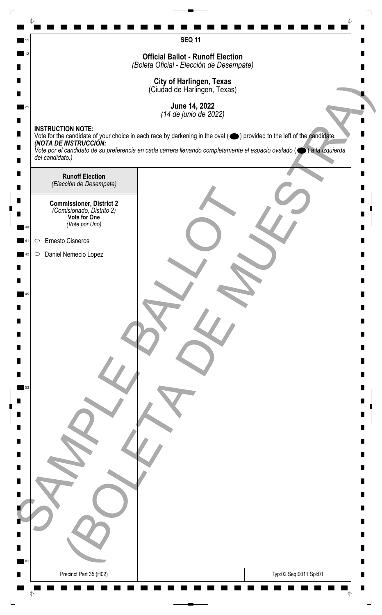|    | <b>SEQ 11</b>                                                                                                                                                               |   |
|----|-----------------------------------------------------------------------------------------------------------------------------------------------------------------------------|---|
| 12 | <b>Official Ballot - Runoff Election</b>                                                                                                                                    |   |
|    | (Boleta Oficial - Elección de Desempate)                                                                                                                                    |   |
|    | <b>City of Harlingen, Texas</b><br>(Ciudad de Harlingen, Texas)                                                                                                             |   |
|    | June 14, 2022                                                                                                                                                               |   |
|    | (14 de junio de 2022)                                                                                                                                                       |   |
|    | <b>INSTRUCTION NOTE:</b><br>Vote for the candidate of your choice in each race by darkening in the oval (O) provided to the left of the candidate.<br>(NOTA DE INSTRUCCIÓN: |   |
|    | Vote por el candidato de su preferencia en cada carrera llenando completamente el espacio ovalado ( $\bigcirc$ ) a la izquierda<br>del candidato.)                          |   |
|    |                                                                                                                                                                             |   |
|    | <b>Runoff Election</b><br>(Elección de Desempate)                                                                                                                           |   |
|    | <b>Commissioner, District 2</b>                                                                                                                                             |   |
|    | (Comisionado, Distrito 2)<br>Vote for One                                                                                                                                   |   |
|    | (Vote por Uno)                                                                                                                                                              |   |
|    | Ernesto Cisneros<br>$\bigcirc$                                                                                                                                              |   |
|    | Daniel Nemecio Lopez<br>$\circ$                                                                                                                                             |   |
|    |                                                                                                                                                                             |   |
|    |                                                                                                                                                                             |   |
|    |                                                                                                                                                                             |   |
|    |                                                                                                                                                                             |   |
|    |                                                                                                                                                                             |   |
|    |                                                                                                                                                                             |   |
|    |                                                                                                                                                                             |   |
| 53 |                                                                                                                                                                             |   |
|    |                                                                                                                                                                             |   |
|    |                                                                                                                                                                             |   |
|    |                                                                                                                                                                             |   |
|    |                                                                                                                                                                             |   |
|    |                                                                                                                                                                             |   |
|    |                                                                                                                                                                             |   |
|    |                                                                                                                                                                             |   |
|    |                                                                                                                                                                             |   |
|    |                                                                                                                                                                             |   |
|    |                                                                                                                                                                             |   |
| 61 |                                                                                                                                                                             | ш |
|    | Precinct Part 35 (H02)<br>Typ:02 Seq:0011 Spl:01                                                                                                                            |   |
|    |                                                                                                                                                                             |   |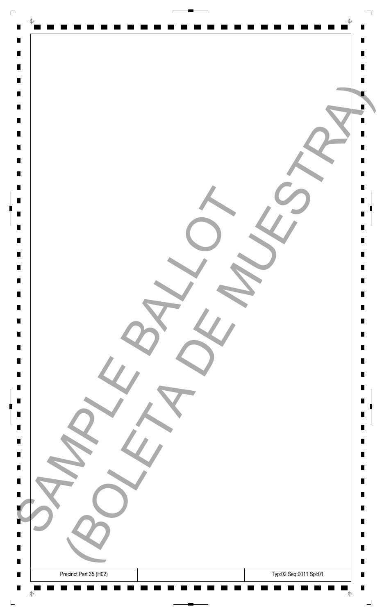| $\Box$                                                                                                                     |                                                                                   |                               |
|----------------------------------------------------------------------------------------------------------------------------|-----------------------------------------------------------------------------------|-------------------------------|
| $\blacksquare$<br>$\blacksquare$<br>$\blacksquare$<br>$\blacksquare$<br>$\blacksquare$<br>$\blacksquare$<br>$\blacksquare$ | $\Rightarrow$                                                                     | Ш                             |
| $\blacksquare$<br>$\blacksquare$<br>$\blacksquare$<br>$\blacksquare$<br>$\blacksquare$<br>$\blacksquare$                   |                                                                                   | Ш                             |
| $\blacksquare$<br>$\blacksquare$<br>$\blacksquare$<br>$\blacksquare$<br>$\blacksquare$<br>$\blacksquare$                   |                                                                                   | П<br>П<br>Ш<br>П              |
| $\blacksquare$<br>$\blacksquare$<br>$\blacksquare$<br>$\blacksquare$<br>$\blacksquare$<br>$\blacksquare$                   |                                                                                   | Ш<br>Ш<br>Ш<br>Ш<br>Ш<br>Ш    |
| $\blacksquare$<br>$\blacksquare$<br>$\blacksquare$<br>$\blacksquare$<br>$\blacksquare$<br>$\blacksquare$<br>$\blacksquare$ |                                                                                   | Ш<br>Ш<br>П<br>П<br>Ш<br>Ш    |
| $\blacksquare$<br>B<br>ш<br>п                                                                                              |                                                                                   | Ш<br>Ш<br>Ш<br>П<br>ш<br>H.   |
| $\blacksquare$<br>$\blacksquare$<br>$\blacksquare$                                                                         | Typ:02 Seq:0011 Spl:01<br>Precinct Part 35 (H02)<br>$\bar{\mathrm{+}}$<br>$\oint$ | П<br>$\blacksquare$<br>п<br>」 |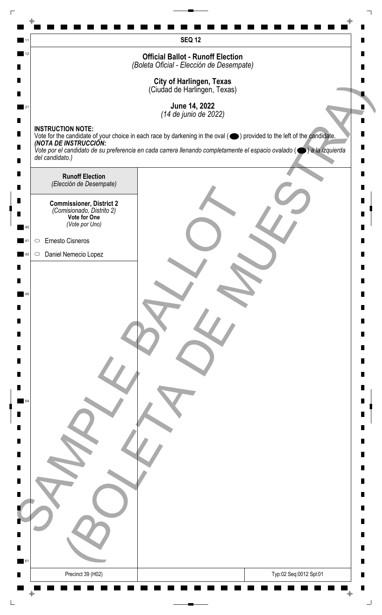|    | <b>SEQ 12</b>                                                                                                                                                                          |   |
|----|----------------------------------------------------------------------------------------------------------------------------------------------------------------------------------------|---|
| 12 | <b>Official Ballot - Runoff Election</b>                                                                                                                                               |   |
|    | (Boleta Oficial - Elección de Desempate)                                                                                                                                               |   |
|    | <b>City of Harlingen, Texas</b><br>(Ciudad de Harlingen, Texas)                                                                                                                        |   |
|    | June 14, 2022                                                                                                                                                                          |   |
|    | (14 de junio de 2022)                                                                                                                                                                  |   |
|    | <b>INSTRUCTION NOTE:</b><br>Vote for the candidate of your choice in each race by darkening in the oval ( $\bigcirc$ ) provided to the left of the candidate.<br>(NOTA DE INSTRUCCIÓN: |   |
|    | Vote por el candidato de su preferencia en cada carrera llenando completamente el espacio ovalado ( $\bigcirc$ ) a la izquierda<br>del candidato.)                                     |   |
|    |                                                                                                                                                                                        |   |
|    | <b>Runoff Election</b><br>(Elección de Desempate)                                                                                                                                      |   |
|    | <b>Commissioner, District 2</b>                                                                                                                                                        |   |
|    | (Comisionado, Distrito 2)<br>Vote for One                                                                                                                                              |   |
|    | (Vote por Uno)                                                                                                                                                                         |   |
|    | Ernesto Cisneros<br>$\bigcirc$                                                                                                                                                         |   |
|    | Daniel Nemecio Lopez<br>$\circ$                                                                                                                                                        |   |
|    |                                                                                                                                                                                        |   |
|    |                                                                                                                                                                                        |   |
|    |                                                                                                                                                                                        |   |
|    |                                                                                                                                                                                        |   |
|    |                                                                                                                                                                                        |   |
|    |                                                                                                                                                                                        |   |
|    |                                                                                                                                                                                        |   |
|    |                                                                                                                                                                                        |   |
|    |                                                                                                                                                                                        |   |
|    |                                                                                                                                                                                        |   |
|    |                                                                                                                                                                                        |   |
|    |                                                                                                                                                                                        |   |
|    |                                                                                                                                                                                        |   |
|    |                                                                                                                                                                                        |   |
|    |                                                                                                                                                                                        |   |
|    |                                                                                                                                                                                        |   |
|    |                                                                                                                                                                                        |   |
|    |                                                                                                                                                                                        |   |
|    |                                                                                                                                                                                        | п |
| 61 |                                                                                                                                                                                        |   |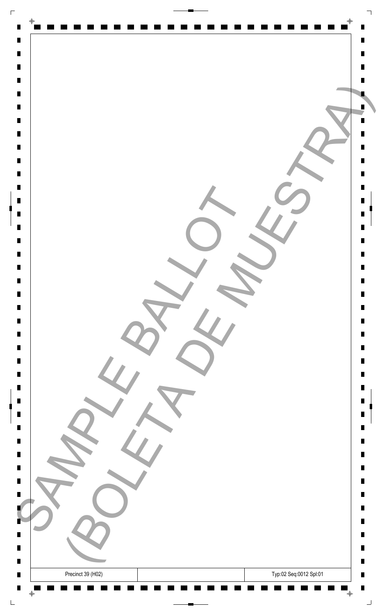| $\Gamma$                         |                                             |                |
|----------------------------------|---------------------------------------------|----------------|
| $\blacksquare$                   | $\Phi$                                      |                |
| $\blacksquare$                   |                                             | Ш              |
| $\blacksquare$                   |                                             | П              |
| $\blacksquare$                   |                                             |                |
| $\blacksquare$<br>$\blacksquare$ |                                             |                |
| $\blacksquare$                   |                                             |                |
| $\blacksquare$                   |                                             |                |
| $\blacksquare$                   |                                             |                |
| $\blacksquare$<br>$\blacksquare$ |                                             | П              |
| $\blacksquare$                   |                                             | П              |
| $\blacksquare$                   |                                             |                |
| $\blacksquare$                   |                                             | Ш              |
| $\blacksquare$<br>$\blacksquare$ |                                             | П<br>П         |
| $\blacksquare$                   |                                             |                |
| $\blacksquare$                   |                                             |                |
|                                  |                                             |                |
| $\blacksquare$                   |                                             | П<br>Ш         |
| $\Box$                           |                                             | Ш              |
| $\blacksquare$                   |                                             | Ш              |
| $\blacksquare$                   |                                             | Ш              |
| $\blacksquare$<br>$\blacksquare$ |                                             | Ш<br>Ш         |
| $\blacksquare$                   |                                             |                |
| $\blacksquare$                   |                                             | П              |
| $\blacksquare$                   |                                             | Ш              |
| $\blacksquare$<br>$\blacksquare$ |                                             | Ш              |
| $\blacksquare$                   |                                             | Ш              |
| $\blacksquare$                   |                                             | п              |
| $\blacksquare$                   |                                             | Ш<br>Ш         |
|                                  |                                             |                |
| $\blacksquare$                   |                                             | Ш              |
| ٠                                |                                             | П              |
| ш<br>$\Box$                      |                                             | ш<br>п         |
| $\blacksquare$                   |                                             | $\blacksquare$ |
| $\blacksquare$                   | Typ:02 Seq:0012 Spl:01<br>Precinct 39 (H02) | Ш              |
| $\blacksquare$                   | ╺<br>$\bigoplus$                            | П              |
|                                  |                                             | ┙              |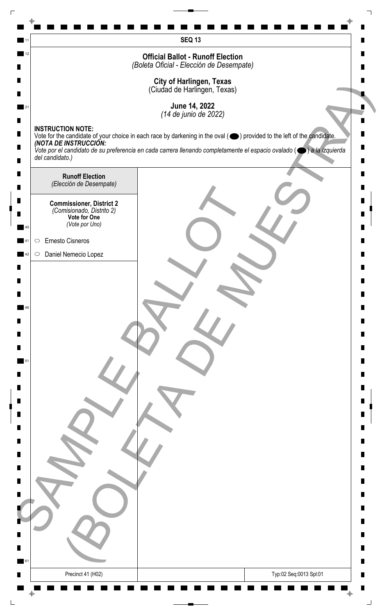|                 |                                                              | <b>SEQ 13</b>                                                                                                                                                                                                                                                                               |
|-----------------|--------------------------------------------------------------|---------------------------------------------------------------------------------------------------------------------------------------------------------------------------------------------------------------------------------------------------------------------------------------------|
| 12              |                                                              | <b>Official Ballot - Runoff Election</b>                                                                                                                                                                                                                                                    |
|                 |                                                              | (Boleta Oficial - Elección de Desempate)                                                                                                                                                                                                                                                    |
|                 |                                                              | <b>City of Harlingen, Texas</b><br>(Ciudad de Harlingen, Texas)                                                                                                                                                                                                                             |
|                 |                                                              |                                                                                                                                                                                                                                                                                             |
|                 |                                                              | June 14, 2022<br>(14 de junio de 2022)                                                                                                                                                                                                                                                      |
|                 | <b>INSTRUCTION NOTE:</b>                                     |                                                                                                                                                                                                                                                                                             |
|                 |                                                              | Vote for the candidate of your choice in each race by darkening in the oval ( ightarrow ) provided to the left of the candidate.<br>(NOTA DE INSTRUCCIÓN:<br>Vote por el candidato de su preferencia en cada carrera llenando completamente el espacio ovalado ( $\bullet$ ) a la izquierda |
| del candidato.) |                                                              |                                                                                                                                                                                                                                                                                             |
|                 | <b>Runoff Election</b>                                       |                                                                                                                                                                                                                                                                                             |
|                 | (Elección de Desempate)                                      |                                                                                                                                                                                                                                                                                             |
|                 | <b>Commissioner, District 2</b><br>(Comisionado, Distrito 2) |                                                                                                                                                                                                                                                                                             |
| 40              | Vote for One<br>(Vote por Uno)                               |                                                                                                                                                                                                                                                                                             |
| $\circ$         | Ernesto Cisneros                                             |                                                                                                                                                                                                                                                                                             |
| $\circ$         | Daniel Nemecio Lopez                                         |                                                                                                                                                                                                                                                                                             |
|                 |                                                              |                                                                                                                                                                                                                                                                                             |
|                 |                                                              |                                                                                                                                                                                                                                                                                             |
|                 |                                                              |                                                                                                                                                                                                                                                                                             |
| 46              |                                                              |                                                                                                                                                                                                                                                                                             |
|                 |                                                              |                                                                                                                                                                                                                                                                                             |
|                 |                                                              |                                                                                                                                                                                                                                                                                             |
| 51              |                                                              |                                                                                                                                                                                                                                                                                             |
|                 |                                                              |                                                                                                                                                                                                                                                                                             |
|                 |                                                              |                                                                                                                                                                                                                                                                                             |
|                 |                                                              |                                                                                                                                                                                                                                                                                             |
|                 |                                                              |                                                                                                                                                                                                                                                                                             |
|                 |                                                              |                                                                                                                                                                                                                                                                                             |
|                 |                                                              |                                                                                                                                                                                                                                                                                             |
|                 |                                                              |                                                                                                                                                                                                                                                                                             |
|                 |                                                              |                                                                                                                                                                                                                                                                                             |
|                 |                                                              |                                                                                                                                                                                                                                                                                             |
|                 |                                                              |                                                                                                                                                                                                                                                                                             |
|                 |                                                              |                                                                                                                                                                                                                                                                                             |
|                 |                                                              |                                                                                                                                                                                                                                                                                             |
| 61              |                                                              |                                                                                                                                                                                                                                                                                             |
|                 |                                                              | Typ:02 Seq:0013 Spl:01                                                                                                                                                                                                                                                                      |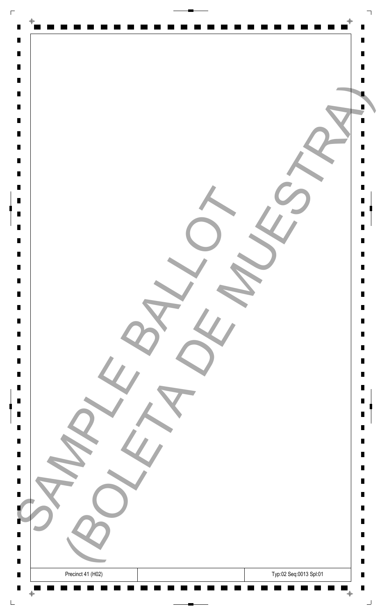| $\Gamma$                         |                                             |                     |
|----------------------------------|---------------------------------------------|---------------------|
| $\blacksquare$                   | $\Phi$                                      |                     |
| $\blacksquare$                   |                                             | Ш                   |
| $\blacksquare$<br>$\blacksquare$ |                                             | П                   |
| $\blacksquare$                   |                                             |                     |
| $\blacksquare$                   |                                             |                     |
| $\blacksquare$<br>$\blacksquare$ |                                             |                     |
| $\blacksquare$                   |                                             |                     |
| $\blacksquare$<br>$\blacksquare$ |                                             | П                   |
| $\blacksquare$                   |                                             | П                   |
| $\blacksquare$                   |                                             |                     |
| $\blacksquare$<br>$\blacksquare$ |                                             | Ш<br>П              |
| $\blacksquare$                   |                                             | П                   |
| $\blacksquare$<br>$\blacksquare$ |                                             |                     |
|                                  |                                             |                     |
| $\blacksquare$<br>$\blacksquare$ |                                             | П<br>Ш              |
| $\Box$                           |                                             | Ш                   |
| $\blacksquare$<br>$\blacksquare$ |                                             | Ш<br>Ш              |
| $\blacksquare$                   |                                             | Ш                   |
| $\blacksquare$                   |                                             | Ш                   |
| $\blacksquare$<br>$\blacksquare$ |                                             | П                   |
| $\blacksquare$                   |                                             | Ш                   |
| $\blacksquare$<br>$\blacksquare$ |                                             | Ш                   |
| $\blacksquare$                   |                                             | Ш                   |
| $\blacksquare$                   |                                             | п<br>Ш              |
| $\blacksquare$                   |                                             | Ш                   |
| $\blacksquare$                   |                                             | Ш                   |
| ٠                                |                                             | П                   |
| ш                                |                                             | ш                   |
| $\Box$<br>$\blacksquare$         |                                             | п<br>$\blacksquare$ |
| $\blacksquare$                   | Typ:02 Seq:0013 Spl:01<br>Precinct 41 (H02) | Ш                   |
| $\blacksquare$                   | $\bar{\mathrm{+}}$<br>$\bigoplus$           | П<br>┙              |
|                                  |                                             |                     |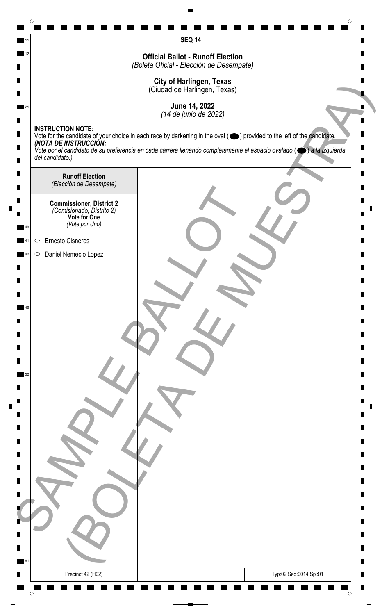|    | <b>SEQ 14</b>                                                                                                                                                               |   |
|----|-----------------------------------------------------------------------------------------------------------------------------------------------------------------------------|---|
| 12 | <b>Official Ballot - Runoff Election</b>                                                                                                                                    |   |
|    | (Boleta Oficial - Elección de Desempate)                                                                                                                                    |   |
|    | <b>City of Harlingen, Texas</b><br>(Ciudad de Harlingen, Texas)                                                                                                             |   |
|    | June 14, 2022                                                                                                                                                               |   |
|    | (14 de junio de 2022)                                                                                                                                                       |   |
|    | <b>INSTRUCTION NOTE:</b><br>Vote for the candidate of your choice in each race by darkening in the oval (O) provided to the left of the candidate.<br>(NOTA DE INSTRUCCIÓN: |   |
|    | Vote por el candidato de su preferencia en cada carrera llenando completamente el espacio ovalado ( $\bigcirc$ ) a la izquierda<br>del candidato.)                          |   |
|    | <b>Runoff Election</b>                                                                                                                                                      |   |
|    | (Elección de Desempate)                                                                                                                                                     |   |
|    | <b>Commissioner, District 2</b>                                                                                                                                             |   |
|    | (Comisionado, Distrito 2)<br>Vote for One<br>(Vote por Uno)                                                                                                                 |   |
|    | Ernesto Cisneros<br>$\bigcirc$                                                                                                                                              |   |
|    | Daniel Nemecio Lopez<br>$\circ$                                                                                                                                             |   |
|    |                                                                                                                                                                             |   |
|    |                                                                                                                                                                             |   |
|    |                                                                                                                                                                             |   |
|    |                                                                                                                                                                             |   |
|    |                                                                                                                                                                             |   |
|    |                                                                                                                                                                             |   |
|    |                                                                                                                                                                             |   |
|    |                                                                                                                                                                             |   |
|    |                                                                                                                                                                             |   |
|    |                                                                                                                                                                             |   |
|    |                                                                                                                                                                             |   |
|    |                                                                                                                                                                             |   |
|    |                                                                                                                                                                             |   |
|    |                                                                                                                                                                             |   |
|    |                                                                                                                                                                             |   |
|    |                                                                                                                                                                             |   |
|    |                                                                                                                                                                             |   |
|    |                                                                                                                                                                             |   |
| 61 |                                                                                                                                                                             |   |
|    | Precinct 42 (H02)<br>Typ:02 Seq:0014 Spl:01                                                                                                                                 | п |
|    |                                                                                                                                                                             |   |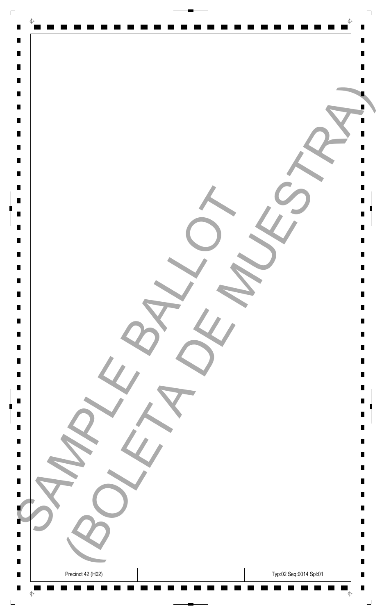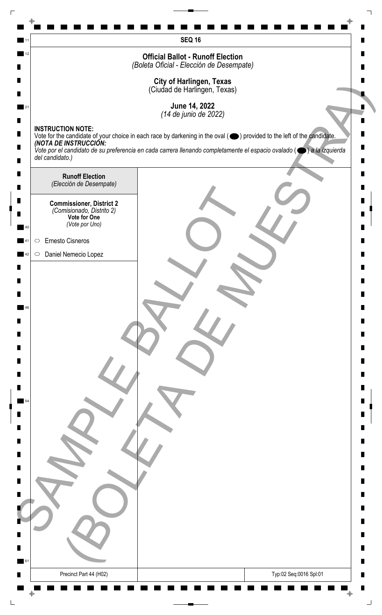|    | <b>SEQ 16</b>                                                                                                                                                               |   |
|----|-----------------------------------------------------------------------------------------------------------------------------------------------------------------------------|---|
| 12 | <b>Official Ballot - Runoff Election</b>                                                                                                                                    |   |
|    | (Boleta Oficial - Elección de Desempate)                                                                                                                                    |   |
|    | <b>City of Harlingen, Texas</b><br>(Ciudad de Harlingen, Texas)                                                                                                             |   |
|    | June 14, 2022                                                                                                                                                               |   |
|    | (14 de junio de 2022)                                                                                                                                                       |   |
|    | <b>INSTRUCTION NOTE:</b><br>Vote for the candidate of your choice in each race by darkening in the oval (O) provided to the left of the candidate.<br>(NOTA DE INSTRUCCIÓN: |   |
|    | Vote por el candidato de su preferencia en cada carrera llenando completamente el espacio ovalado ( $\bigcirc$ ) a la izquierda<br>del candidato.)                          |   |
|    |                                                                                                                                                                             |   |
|    | <b>Runoff Election</b><br>(Elección de Desempate)                                                                                                                           |   |
|    | <b>Commissioner, District 2</b>                                                                                                                                             |   |
|    | (Comisionado, Distrito 2)<br>Vote for One                                                                                                                                   |   |
|    | (Vote por Uno)                                                                                                                                                              |   |
|    | Ernesto Cisneros<br>$\bigcirc$                                                                                                                                              |   |
|    | Daniel Nemecio Lopez<br>$\circ$                                                                                                                                             |   |
|    |                                                                                                                                                                             |   |
|    |                                                                                                                                                                             |   |
|    |                                                                                                                                                                             |   |
|    |                                                                                                                                                                             |   |
|    |                                                                                                                                                                             |   |
|    |                                                                                                                                                                             |   |
|    |                                                                                                                                                                             |   |
|    |                                                                                                                                                                             |   |
|    |                                                                                                                                                                             |   |
|    |                                                                                                                                                                             |   |
|    |                                                                                                                                                                             |   |
|    |                                                                                                                                                                             |   |
|    |                                                                                                                                                                             |   |
|    |                                                                                                                                                                             |   |
|    |                                                                                                                                                                             |   |
|    |                                                                                                                                                                             |   |
|    |                                                                                                                                                                             |   |
|    |                                                                                                                                                                             |   |
| 61 |                                                                                                                                                                             | Ш |
|    | Precinct Part 44 (H02)<br>Typ:02 Seq:0016 Spl:01                                                                                                                            |   |
|    |                                                                                                                                                                             |   |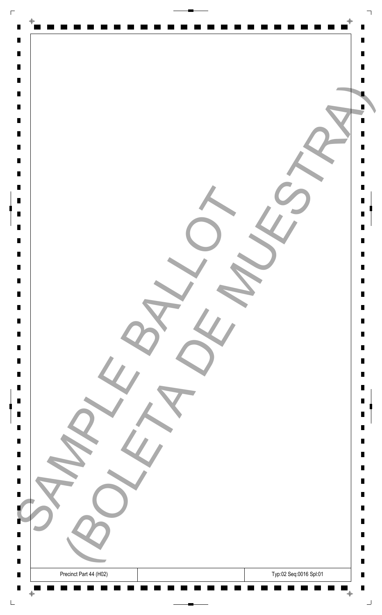| $\Box$                                                                                                                                       |                                                                                   |                                 |
|----------------------------------------------------------------------------------------------------------------------------------------------|-----------------------------------------------------------------------------------|---------------------------------|
| $\blacksquare$<br>$\blacksquare$<br>$\blacksquare$<br>$\blacksquare$<br>$\blacksquare$                                                       | $\bigoplus$                                                                       | Ш                               |
| $\blacksquare$<br>$\blacksquare$<br>$\blacksquare$<br>$\blacksquare$<br>$\blacksquare$                                                       |                                                                                   |                                 |
| $\blacksquare$<br>$\blacksquare$<br>$\blacksquare$<br>$\blacksquare$<br>$\blacksquare$<br>$\blacksquare$<br>$\blacksquare$<br>$\blacksquare$ |                                                                                   | Ш<br>П<br>П<br>Ш                |
| $\blacksquare$<br>$\blacksquare$<br>$\blacksquare$<br>$\blacksquare$<br>$\blacksquare$<br>$\blacksquare$                                     |                                                                                   | П<br>Ш<br>Ш<br>Ш<br>Ш<br>Ш      |
| $\blacksquare$<br>$\blacksquare$<br>$\blacksquare$<br>$\blacksquare$<br>$\blacksquare$<br>$\blacksquare$<br>$\blacksquare$<br>$\blacksquare$ |                                                                                   | Ш<br>Ш<br>Ш<br>П<br>П<br>Ш<br>Ш |
| $\blacksquare$<br>B<br>ш<br>п<br>$\blacksquare$                                                                                              | $\sim$                                                                            | Ш<br>Ш<br>Ш<br>П<br>ш<br>ш<br>П |
| $\blacksquare$<br>$\blacksquare$                                                                                                             | Typ:02 Seq:0016 Spl:01<br>Precinct Part 44 (H02)<br>$\bar{\mathrm{+}}$<br>$\oint$ | $\blacksquare$<br>H<br>コ        |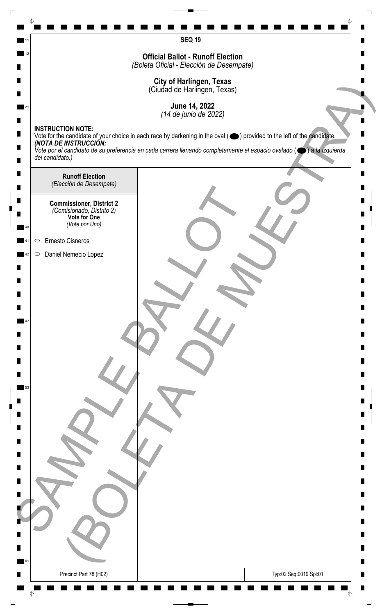|    | <b>SEQ 19</b>                                                                                                                                      |   |
|----|----------------------------------------------------------------------------------------------------------------------------------------------------|---|
| 12 | <b>Official Ballot - Runoff Election</b>                                                                                                           |   |
|    | (Boleta Oficial - Elección de Desempate)                                                                                                           |   |
|    | <b>City of Harlingen, Texas</b><br>(Ciudad de Harlingen, Texas)                                                                                    |   |
|    | June 14, 2022                                                                                                                                      |   |
|    | (14 de junio de 2022)<br><b>INSTRUCTION NOTE:</b>                                                                                                  |   |
|    | Vote for the candidate of your choice in each race by darkening in the oval (O) provided to the left of the candidate.<br>(NOTA DE INSTRUCCIÓN:    |   |
|    | Vote por el candidato de su preferencia en cada carrera llenando completamente el espacio ovalado ( $\bigcirc$ ) a la izquierda<br>del candidato.) |   |
|    | <b>Runoff Election</b>                                                                                                                             |   |
|    | (Elección de Desempate)                                                                                                                            |   |
|    | <b>Commissioner, District 2</b><br>(Comisionado, Distrito 2)                                                                                       |   |
|    | Vote for One<br>(Vote por Uno)                                                                                                                     |   |
|    | Ernesto Cisneros<br>$\bigcirc$                                                                                                                     |   |
|    | Daniel Nemecio Lopez<br>$\circ$                                                                                                                    |   |
|    |                                                                                                                                                    |   |
|    |                                                                                                                                                    |   |
|    |                                                                                                                                                    |   |
|    |                                                                                                                                                    |   |
|    |                                                                                                                                                    |   |
|    |                                                                                                                                                    |   |
|    |                                                                                                                                                    |   |
| 53 |                                                                                                                                                    |   |
|    |                                                                                                                                                    |   |
|    |                                                                                                                                                    |   |
|    |                                                                                                                                                    |   |
|    |                                                                                                                                                    |   |
|    |                                                                                                                                                    |   |
|    |                                                                                                                                                    |   |
|    |                                                                                                                                                    |   |
|    |                                                                                                                                                    |   |
|    |                                                                                                                                                    |   |
|    |                                                                                                                                                    |   |
|    |                                                                                                                                                    | ш |
| 61 | Precinct Part 78 (H02)<br>Typ:02 Seq:0019 Spl:01                                                                                                   |   |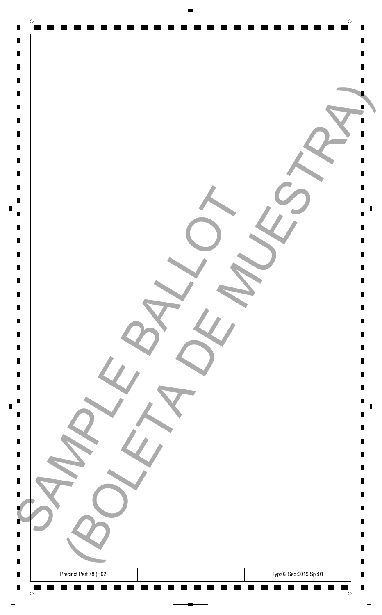| $\Box$                                                                                                   |                                                                                   |                                       |
|----------------------------------------------------------------------------------------------------------|-----------------------------------------------------------------------------------|---------------------------------------|
| $\blacksquare$<br>$\blacksquare$<br>$\blacksquare$<br>$\blacksquare$<br>$\blacksquare$<br>$\blacksquare$ | $\bigoplus$                                                                       | Ш                                     |
| $\blacksquare$<br>$\blacksquare$<br>$\blacksquare$<br>$\blacksquare$<br>$\blacksquare$<br>$\blacksquare$ |                                                                                   | Ш                                     |
| $\blacksquare$<br>$\blacksquare$<br>$\blacksquare$<br>$\blacksquare$<br>$\blacksquare$<br>$\blacksquare$ |                                                                                   | П<br>П<br>Ш                           |
| $\blacksquare$<br>$\blacksquare$<br>$\blacksquare$<br>$\blacksquare$<br>$\blacksquare$<br>$\blacksquare$ |                                                                                   | П<br>Ш<br>Ш<br>Ш<br>Ш<br>Ш            |
| $\blacksquare$<br>$\blacksquare$<br>$\blacksquare$<br>$\blacksquare$<br>$\blacksquare$<br>$\blacksquare$ |                                                                                   | Ш<br>Ш<br>Ш<br>П<br>П                 |
| $\blacksquare$<br>$\blacksquare$<br>$\blacksquare$<br>B<br>ш<br>п                                        | $\sim$                                                                            | Ш<br>Ш<br>Ш<br>Ш<br>Ш<br>П<br>ш<br>H. |
| $\blacksquare$<br>$\blacksquare$<br>$\blacksquare$                                                       | Typ:02 Seq:0019 Spl:01<br>Precinct Part 78 (H02)<br>$\bar{\mathrm{+}}$<br>$\oint$ | П<br>$\blacksquare$<br>п<br>┙         |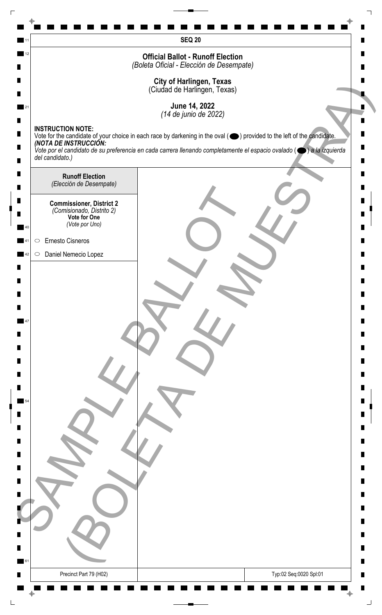|    | <b>SEQ 20</b>                                                                                                                                                               |   |
|----|-----------------------------------------------------------------------------------------------------------------------------------------------------------------------------|---|
| 12 | <b>Official Ballot - Runoff Election</b>                                                                                                                                    |   |
|    | (Boleta Oficial - Elección de Desempate)                                                                                                                                    |   |
|    | <b>City of Harlingen, Texas</b><br>(Ciudad de Harlingen, Texas)                                                                                                             |   |
|    | June 14, 2022                                                                                                                                                               |   |
|    | (14 de junio de 2022)                                                                                                                                                       |   |
|    | <b>INSTRUCTION NOTE:</b><br>Vote for the candidate of your choice in each race by darkening in the oval (O) provided to the left of the candidate.<br>(NOTA DE INSTRUCCIÓN: |   |
|    | Vote por el candidato de su preferencia en cada carrera llenando completamente el espacio ovalado ( $\bigcirc$ ) a la izquierda<br>del candidato.)                          |   |
|    |                                                                                                                                                                             |   |
|    | <b>Runoff Election</b><br>(Elección de Desempate)                                                                                                                           |   |
|    | <b>Commissioner, District 2</b>                                                                                                                                             |   |
|    | (Comisionado, Distrito 2)<br>Vote for One                                                                                                                                   |   |
|    | (Vote por Uno)                                                                                                                                                              |   |
|    | Ernesto Cisneros<br>$\bigcirc$                                                                                                                                              |   |
|    | Daniel Nemecio Lopez<br>$\circ$                                                                                                                                             |   |
|    |                                                                                                                                                                             |   |
|    |                                                                                                                                                                             |   |
|    |                                                                                                                                                                             |   |
|    |                                                                                                                                                                             |   |
|    |                                                                                                                                                                             |   |
|    |                                                                                                                                                                             |   |
|    |                                                                                                                                                                             |   |
|    |                                                                                                                                                                             |   |
|    |                                                                                                                                                                             |   |
|    |                                                                                                                                                                             |   |
|    |                                                                                                                                                                             |   |
|    |                                                                                                                                                                             |   |
|    |                                                                                                                                                                             |   |
|    |                                                                                                                                                                             |   |
|    |                                                                                                                                                                             |   |
|    |                                                                                                                                                                             |   |
|    |                                                                                                                                                                             |   |
|    |                                                                                                                                                                             |   |
|    |                                                                                                                                                                             |   |
| 61 |                                                                                                                                                                             | ш |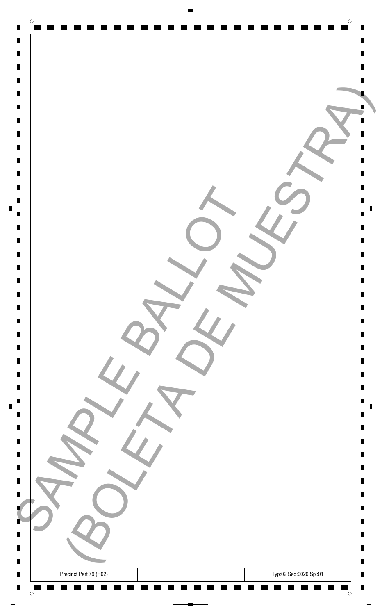| $\Box$                                                                                                   |                                                                                             |                                          |
|----------------------------------------------------------------------------------------------------------|---------------------------------------------------------------------------------------------|------------------------------------------|
| $\blacksquare$<br>$\blacksquare$<br>$\blacksquare$<br>$\blacksquare$<br>$\blacksquare$                   | $\bigoplus$                                                                                 | Ш                                        |
| $\blacksquare$<br>$\blacksquare$<br>$\blacksquare$<br>$\blacksquare$<br>$\blacksquare$<br>$\blacksquare$ |                                                                                             |                                          |
| $\blacksquare$<br>$\blacksquare$<br>$\blacksquare$<br>$\blacksquare$<br>$\blacksquare$<br>$\blacksquare$ |                                                                                             | Ш<br>П<br>П<br>Ш                         |
| $\blacksquare$<br>$\blacksquare$<br>$\blacksquare$<br>$\blacksquare$                                     |                                                                                             | П<br>Ш<br>Ш                              |
| $\blacksquare$<br>$\blacksquare$<br>$\blacksquare$<br>$\blacksquare$<br>$\blacksquare$<br>$\blacksquare$ |                                                                                             | Ш<br>Ш<br>Ш<br>Ш<br>Ш                    |
| $\blacksquare$<br>$\blacksquare$<br>$\blacksquare$<br>$\blacksquare$<br>$\blacksquare$                   |                                                                                             | Ш<br>П<br>П<br>Ш<br>Ш                    |
| $\blacksquare$<br>B                                                                                      |                                                                                             | Ш<br>Ш<br>Ш<br>П                         |
| ш<br>п<br>$\blacksquare$<br>$\blacksquare$<br>$\blacksquare$                                             | $\sim$<br>Typ:02 Seq:0020 Spl:01<br>Precinct Part 79 (H02)<br>$\bar{\mathrm{+}}$<br>$\oint$ | ш<br>H.<br>П<br>$\blacksquare$<br>п<br>┙ |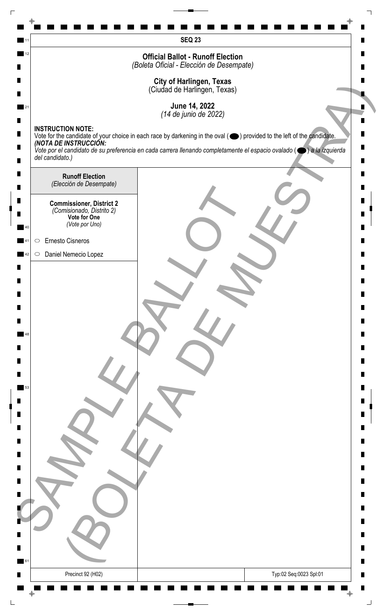|    | <b>SEQ 23</b>                                                                                                                                                                          |   |
|----|----------------------------------------------------------------------------------------------------------------------------------------------------------------------------------------|---|
| 12 | <b>Official Ballot - Runoff Election</b>                                                                                                                                               |   |
|    | (Boleta Oficial - Elección de Desempate)                                                                                                                                               |   |
|    | <b>City of Harlingen, Texas</b><br>(Ciudad de Harlingen, Texas)                                                                                                                        |   |
|    | June 14, 2022                                                                                                                                                                          |   |
|    | (14 de junio de 2022)                                                                                                                                                                  |   |
|    | <b>INSTRUCTION NOTE:</b><br>Vote for the candidate of your choice in each race by darkening in the oval ( $\bigcirc$ ) provided to the left of the candidate.<br>(NOTA DE INSTRUCCIÓN: |   |
|    | Vote por el candidato de su preferencia en cada carrera llenando completamente el espacio ovalado ( $\bigcirc$ ) a la izquierda<br>del candidato.)                                     |   |
|    |                                                                                                                                                                                        |   |
|    | <b>Runoff Election</b><br>(Elección de Desempate)                                                                                                                                      |   |
|    | <b>Commissioner, District 2</b>                                                                                                                                                        |   |
|    | (Comisionado, Distrito 2)<br>Vote for One                                                                                                                                              |   |
|    | (Vote por Uno)                                                                                                                                                                         |   |
|    | Ernesto Cisneros<br>$\bigcirc$<br>Daniel Nemecio Lopez<br>$\circ$                                                                                                                      |   |
|    |                                                                                                                                                                                        |   |
|    |                                                                                                                                                                                        |   |
|    |                                                                                                                                                                                        |   |
|    |                                                                                                                                                                                        |   |
|    |                                                                                                                                                                                        |   |
|    |                                                                                                                                                                                        |   |
|    |                                                                                                                                                                                        |   |
|    |                                                                                                                                                                                        |   |
| 53 |                                                                                                                                                                                        |   |
|    |                                                                                                                                                                                        |   |
|    |                                                                                                                                                                                        |   |
|    |                                                                                                                                                                                        |   |
|    |                                                                                                                                                                                        |   |
|    |                                                                                                                                                                                        |   |
|    |                                                                                                                                                                                        |   |
|    |                                                                                                                                                                                        |   |
|    |                                                                                                                                                                                        |   |
|    |                                                                                                                                                                                        |   |
|    |                                                                                                                                                                                        |   |
|    |                                                                                                                                                                                        |   |
| 61 |                                                                                                                                                                                        | п |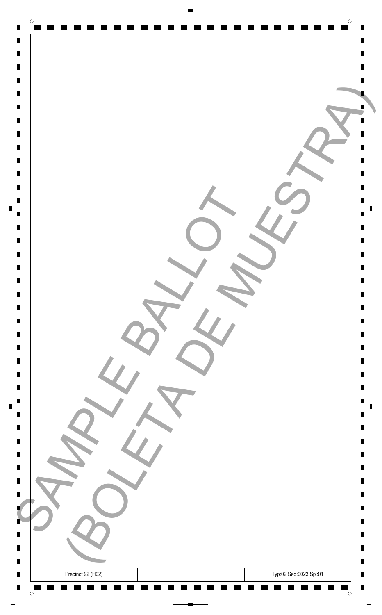| $\Gamma$                         |                                             |                |
|----------------------------------|---------------------------------------------|----------------|
| $\blacksquare$                   | $\Phi$                                      |                |
| $\blacksquare$                   |                                             | Ш              |
| $\blacksquare$                   |                                             | П              |
| $\blacksquare$                   |                                             |                |
| $\blacksquare$<br>$\blacksquare$ |                                             |                |
| $\blacksquare$                   |                                             |                |
| $\blacksquare$                   |                                             |                |
| $\blacksquare$                   |                                             |                |
| $\blacksquare$<br>$\blacksquare$ |                                             | П              |
| $\blacksquare$                   |                                             | П              |
| $\blacksquare$                   |                                             |                |
| $\blacksquare$                   |                                             | Ш              |
| $\blacksquare$<br>$\blacksquare$ |                                             | П<br>П         |
| $\blacksquare$                   |                                             |                |
| $\blacksquare$                   |                                             |                |
|                                  |                                             |                |
| $\blacksquare$<br>$\blacksquare$ |                                             | П<br>Ш         |
| $\Box$                           |                                             | Ш              |
| $\blacksquare$                   |                                             | Ш              |
| $\blacksquare$<br>$\blacksquare$ |                                             | Ш<br>Ш         |
| $\blacksquare$                   |                                             | Ш              |
| $\blacksquare$                   |                                             |                |
| $\blacksquare$                   |                                             | П              |
| $\blacksquare$<br>$\blacksquare$ |                                             | Ш<br>Ш         |
| $\blacksquare$                   |                                             |                |
| $\blacksquare$                   |                                             | Ш              |
| $\blacksquare$                   |                                             | п              |
| $\blacksquare$                   |                                             | Ш<br>Ш         |
|                                  |                                             |                |
| $\blacksquare$                   |                                             | Ш              |
| ٠                                |                                             | П              |
| ш<br>$\Box$                      |                                             | ш<br>п         |
| $\blacksquare$                   |                                             | $\blacksquare$ |
| $\blacksquare$                   | Typ:02 Seq:0023 Spl:01<br>Precinct 92 (H02) | Ш              |
| $\blacksquare$                   | ╺<br>$\bigoplus$                            | П<br>┙         |
|                                  |                                             |                |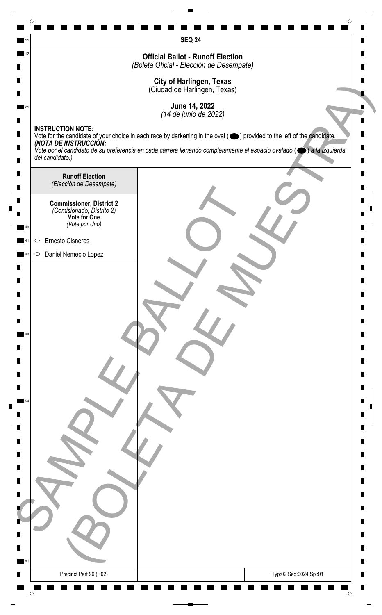|    | <b>SEQ 24</b>                                                                                                                                             |   |
|----|-----------------------------------------------------------------------------------------------------------------------------------------------------------|---|
| 12 | <b>Official Ballot - Runoff Election</b>                                                                                                                  |   |
|    | (Boleta Oficial - Elección de Desempate)                                                                                                                  |   |
|    | City of Harlingen, Texas<br>(Ciudad de Harlingen, Texas)                                                                                                  |   |
|    |                                                                                                                                                           |   |
| 21 | June 14, 2022<br>(14 de junio de 2022)                                                                                                                    |   |
|    | <b>INSTRUCTION NOTE:</b>                                                                                                                                  |   |
|    | Vote for the candidate of your choice in each race by darkening in the oval ( ightarrow ) provided to the left of the candidate.<br>(NOTA DE INSTRUCCIÓN: |   |
|    | Vote por el candidato de su preferencia en cada carrera llenando completamente el espacio ovalado ( $\bigcirc$ ) a la izquierda<br>del candidato.)        |   |
|    |                                                                                                                                                           |   |
|    | <b>Runoff Election</b><br>(Elección de Desempate)                                                                                                         |   |
|    |                                                                                                                                                           |   |
|    | <b>Commissioner, District 2</b><br>(Comisionado, Distrito 2)<br>Vote for One                                                                              |   |
| 40 | (Vote por Uno)                                                                                                                                            |   |
|    | Ernesto Cisneros<br>$\bigcirc$                                                                                                                            |   |
| 42 | Daniel Nemecio Lopez<br>$\circ$                                                                                                                           |   |
|    |                                                                                                                                                           |   |
|    |                                                                                                                                                           |   |
|    |                                                                                                                                                           |   |
|    |                                                                                                                                                           |   |
|    |                                                                                                                                                           |   |
| 48 |                                                                                                                                                           |   |
|    |                                                                                                                                                           |   |
|    |                                                                                                                                                           |   |
|    |                                                                                                                                                           |   |
|    |                                                                                                                                                           |   |
|    |                                                                                                                                                           |   |
|    |                                                                                                                                                           |   |
|    |                                                                                                                                                           |   |
|    |                                                                                                                                                           |   |
|    |                                                                                                                                                           |   |
|    |                                                                                                                                                           |   |
|    |                                                                                                                                                           |   |
|    |                                                                                                                                                           |   |
|    |                                                                                                                                                           |   |
|    |                                                                                                                                                           |   |
|    |                                                                                                                                                           |   |
|    |                                                                                                                                                           |   |
|    |                                                                                                                                                           |   |
| 61 |                                                                                                                                                           | п |